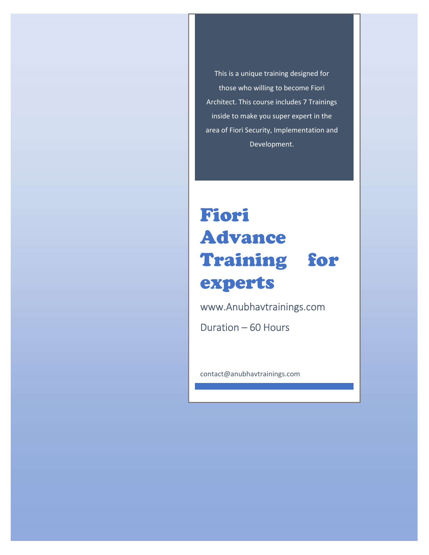This is a unique training designed for those who willing to become Fiori Architect. This course includes 7 Trainings inside to make you super expert in the area of Fiori Security, Implementation and Development.

# Fiori Advance Training for experts

www.Anubhavtrainings.com

Duration – 60 Hours

contact@anubhavtrainings.com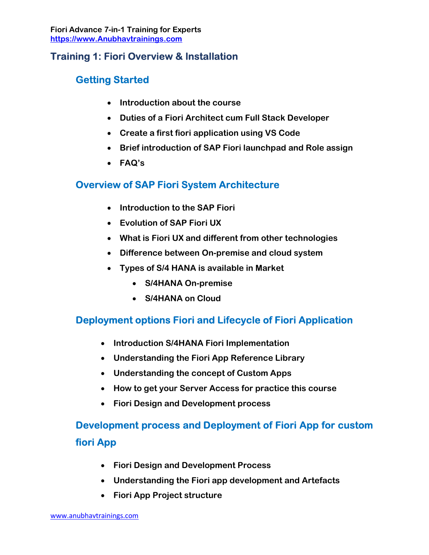#### Training 1: Fiori Overview & Installation

# Getting Started

- Introduction about the course
- Duties of a Fiori Architect cum Full Stack Developer
- Create a first fiori application using VS Code
- Brief introduction of SAP Fiori launchpad and Role assign
- FAQ's

#### Overview of SAP Fiori System Architecture

- Introduction to the SAP Fiori
- Evolution of SAP Fiori UX
- What is Fiori UX and different from other technologies
- Difference between On-premise and cloud system
- Types of S/4 HANA is available in Market
	- S/4HANA On-premise
	- S/4HANA on Cloud

# Deployment options Fiori and Lifecycle of Fiori Application

- Introduction S/4HANA Fiori Implementation
- Understanding the Fiori App Reference Library
- Understanding the concept of Custom Apps
- How to get your Server Access for practice this course
- Fiori Design and Development process

# Development process and Deployment of Fiori App for custom fiori App

- Fiori Design and Development Process
- Understanding the Fiori app development and Artefacts
- Fiori App Project structure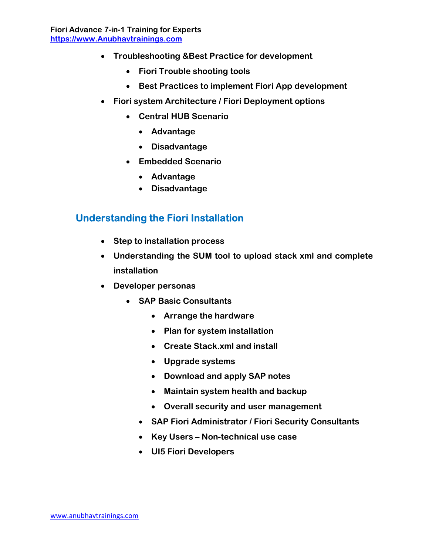- Troubleshooting &Best Practice for development
	- Fiori Trouble shooting tools
	- Best Practices to implement Fiori App development
- Fiori system Architecture / Fiori Deployment options
	- Central HUB Scenario
		- Advantage
		- Disadvantage
	- Embedded Scenario
		- Advantage
		- Disadvantage

#### Understanding the Fiori Installation

- Step to installation process
- Understanding the SUM tool to upload stack xml and complete installation
- Developer personas
	- SAP Basic Consultants
		- Arrange the hardware
		- Plan for system installation
		- Create Stack.xml and install
		- Upgrade systems
		- Download and apply SAP notes
		- Maintain system health and backup
		- Overall security and user management
		- SAP Fiori Administrator / Fiori Security Consultants
		- Key Users Non-technical use case
		- UI5 Fiori Developers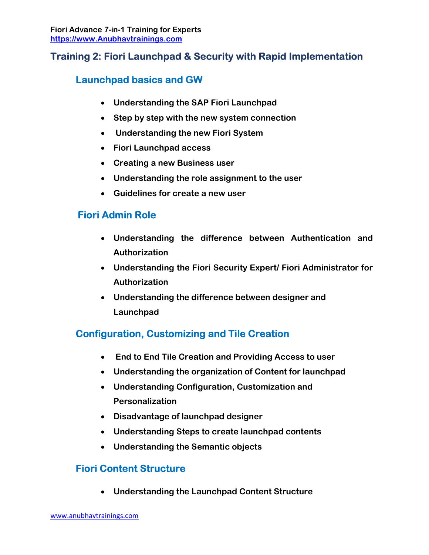# Training 2: Fiori Launchpad & Security with Rapid Implementation

#### Launchpad basics and GW

- Understanding the SAP Fiori Launchpad
- Step by step with the new system connection
- Understanding the new Fiori System
- Fiori Launchpad access
- Creating a new Business user
- Understanding the role assignment to the user
- Guidelines for create a new user

# Fiori Admin Role

- Understanding the difference between Authentication and Authorization
- Understanding the Fiori Security Expert/ Fiori Administrator for Authorization
- Understanding the difference between designer and Launchpad

# Configuration, Customizing and Tile Creation

- End to End Tile Creation and Providing Access to user
- Understanding the organization of Content for launchpad
- Understanding Configuration, Customization and Personalization
- Disadvantage of launchpad designer
- Understanding Steps to create launchpad contents
- Understanding the Semantic objects

# Fiori Content Structure

Understanding the Launchpad Content Structure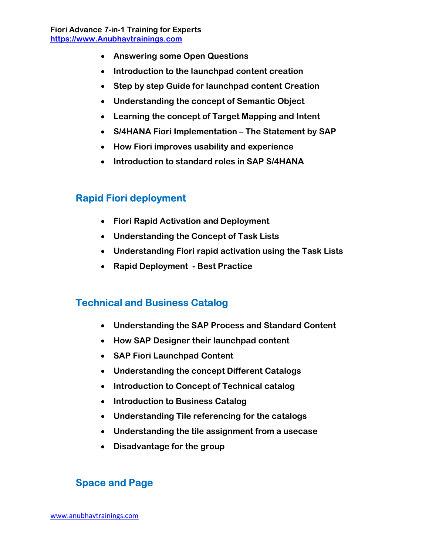- Answering some Open Questions
- Introduction to the launchpad content creation
- Step by step Guide for launchpad content Creation
- Understanding the concept of Semantic Object
- Learning the concept of Target Mapping and Intent
- S/4HANA Fiori Implementation The Statement by SAP
- How Fiori improves usability and experience
- Introduction to standard roles in SAP S/4HANA

#### Rapid Fiori deployment

- Fiori Rapid Activation and Deployment
- Understanding the Concept of Task Lists
- Understanding Fiori rapid activation using the Task Lists
- Rapid Deployment Best Practice

#### Technical and Business Catalog

- Understanding the SAP Process and Standard Content
- How SAP Designer their launchpad content
- SAP Fiori Launchpad Content
- Understanding the concept Different Catalogs
- Introduction to Concept of Technical catalog
- Introduction to Business Catalog
- Understanding Tile referencing for the catalogs
- Understanding the tile assignment from a usecase
- Disadvantage for the group

#### Space and Page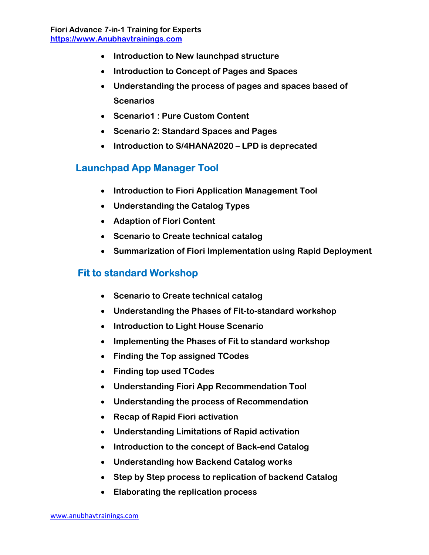- Introduction to New launchpad structure
- Introduction to Concept of Pages and Spaces
- Understanding the process of pages and spaces based of **Scenarios**
- Scenario1 : Pure Custom Content
- Scenario 2: Standard Spaces and Pages
- Introduction to S/4HANA2020 LPD is deprecated

#### Launchpad App Manager Tool

- Introduction to Fiori Application Management Tool
- Understanding the Catalog Types
- Adaption of Fiori Content
- Scenario to Create technical catalog
- Summarization of Fiori Implementation using Rapid Deployment

#### Fit to standard Workshop

- Scenario to Create technical catalog
- Understanding the Phases of Fit-to-standard workshop
- Introduction to Light House Scenario
- Implementing the Phases of Fit to standard workshop
- Finding the Top assigned TCodes
- Finding top used TCodes
- Understanding Fiori App Recommendation Tool
- Understanding the process of Recommendation
- Recap of Rapid Fiori activation
- Understanding Limitations of Rapid activation
- Introduction to the concept of Back-end Catalog
- Understanding how Backend Catalog works
- Step by Step process to replication of backend Catalog
- Elaborating the replication process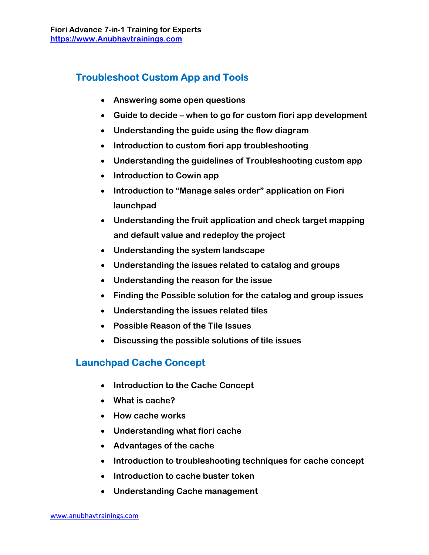# Troubleshoot Custom App and Tools

- Answering some open questions
- Guide to decide when to go for custom fiori app development
- Understanding the guide using the flow diagram
- Introduction to custom fiori app troubleshooting
- Understanding the guidelines of Troubleshooting custom app
- Introduction to Cowin app
- Introduction to "Manage sales order" application on Fiori launchpad
- Understanding the fruit application and check target mapping and default value and redeploy the project
- Understanding the system landscape
- Understanding the issues related to catalog and groups
- Understanding the reason for the issue
- Finding the Possible solution for the catalog and group issues
- Understanding the issues related tiles
- Possible Reason of the Tile Issues
- Discussing the possible solutions of tile issues

# Launchpad Cache Concept

- Introduction to the Cache Concept
- What is cache?
- How cache works
- Understanding what fiori cache
- Advantages of the cache
- Introduction to troubleshooting techniques for cache concept
- Introduction to cache buster token
- Understanding Cache management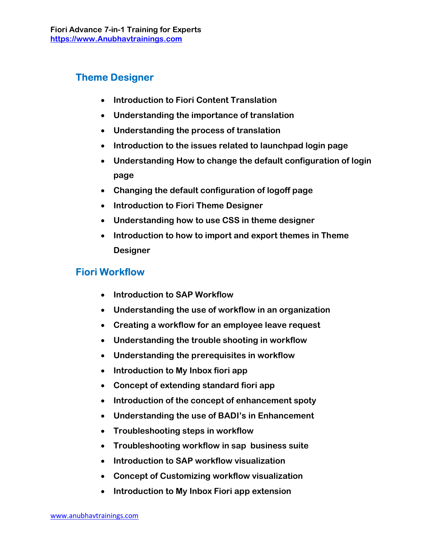# Theme Designer

- Introduction to Fiori Content Translation
- Understanding the importance of translation
- Understanding the process of translation
- Introduction to the issues related to launchpad login page
- Understanding How to change the default configuration of login page
- Changing the default configuration of logoff page
- Introduction to Fiori Theme Designer
- Understanding how to use CSS in theme designer
- Introduction to how to import and export themes in Theme Designer

#### Fiori Workflow

- Introduction to SAP Workflow
- Understanding the use of workflow in an organization
- Creating a workflow for an employee leave request
- Understanding the trouble shooting in workflow
- Understanding the prerequisites in workflow
- Introduction to My Inbox fiori app
- Concept of extending standard fiori app
- Introduction of the concept of enhancement spoty
- Understanding the use of BADI's in Enhancement
- Troubleshooting steps in workflow
- Troubleshooting workflow in sap business suite
- Introduction to SAP workflow visualization
- Concept of Customizing workflow visualization
- Introduction to My Inbox Fiori app extension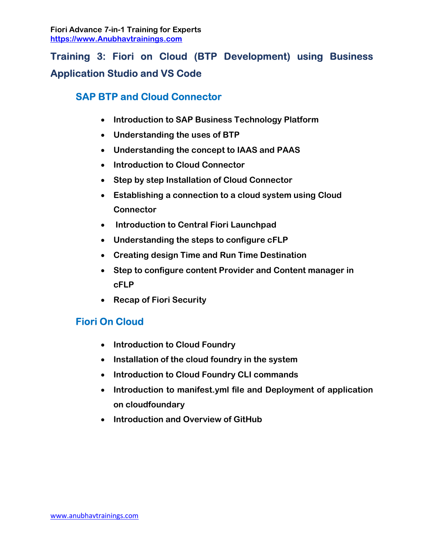# Training 3: Fiori on Cloud (BTP Development) using Business Application Studio and VS Code

# SAP BTP and Cloud Connector

- Introduction to SAP Business Technology Platform
- Understanding the uses of BTP
- Understanding the concept to IAAS and PAAS
- Introduction to Cloud Connector
- Step by step Installation of Cloud Connector
- Establishing a connection to a cloud system using Cloud **Connector**
- Introduction to Central Fiori Launchpad
- Understanding the steps to configure cFLP
- Creating design Time and Run Time Destination
- Step to configure content Provider and Content manager in cFLP
- Recap of Fiori Security

# Fiori On Cloud

- Introduction to Cloud Foundry
- Installation of the cloud foundry in the system
- Introduction to Cloud Foundry CLI commands
- Introduction to manifest.yml file and Deployment of application on cloudfoundary
- Introduction and Overview of GitHub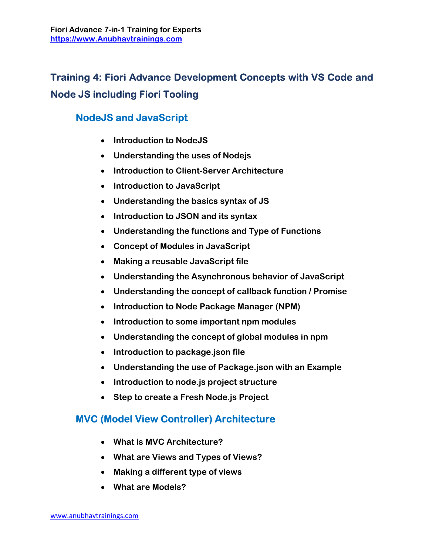# Training 4: Fiori Advance Development Concepts with VS Code and Node JS including Fiori Tooling

# NodeJS and JavaScript

- Introduction to NodeJS
- Understanding the uses of Nodejs
- Introduction to Client-Server Architecture
- Introduction to JavaScript
- Understanding the basics syntax of JS
- Introduction to JSON and its syntax
- Understanding the functions and Type of Functions
- Concept of Modules in JavaScript
- Making a reusable JavaScript file
- Understanding the Asynchronous behavior of JavaScript
- Understanding the concept of callback function / Promise
- Introduction to Node Package Manager (NPM)
- Introduction to some important npm modules
- Understanding the concept of global modules in npm
- Introduction to package.json file
- Understanding the use of Package.json with an Example
- Introduction to node.js project structure
- Step to create a Fresh Node.js Project

# MVC (Model View Controller) Architecture

- What is MVC Architecture?
- What are Views and Types of Views?
- Making a different type of views
- What are Models?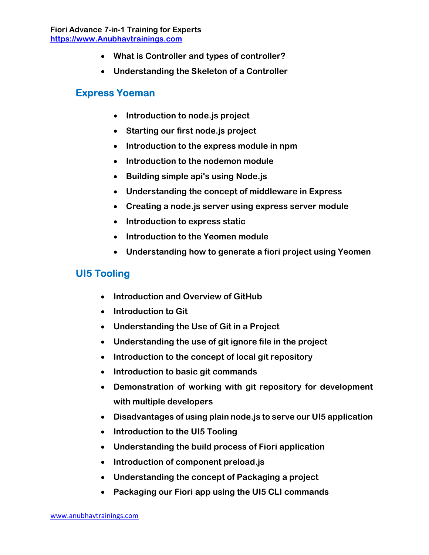- What is Controller and types of controller?
- Understanding the Skeleton of a Controller

#### Express Yoeman

- Introduction to node.js project
- Starting our first node.js project
- Introduction to the express module in npm
- Introduction to the nodemon module
- Building simple api's using Node.js
- Understanding the concept of middleware in Express
- Creating a node.js server using express server module
- Introduction to express static
- Introduction to the Yeomen module
- Understanding how to generate a fiori project using Yeomen

#### UI5 Tooling

- Introduction and Overview of GitHub
- Introduction to Git
- Understanding the Use of Git in a Project
- Understanding the use of git ignore file in the project
- Introduction to the concept of local git repository
- Introduction to basic git commands
- Demonstration of working with git repository for development with multiple developers
- Disadvantages of using plain node.js to serve our UI5 application
- Introduction to the UI5 Tooling
- Understanding the build process of Fiori application
- Introduction of component preload.js
- Understanding the concept of Packaging a project
- Packaging our Fiori app using the UI5 CLI commands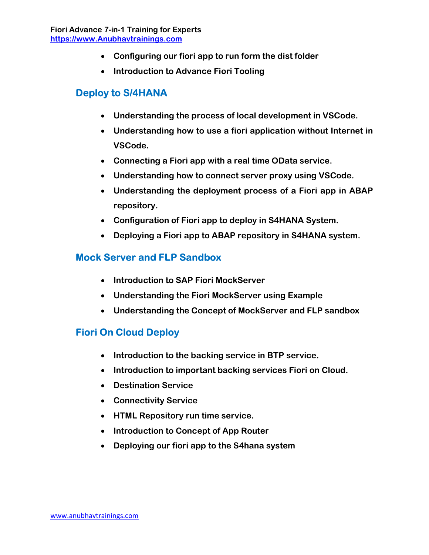- Configuring our fiori app to run form the dist folder
- Introduction to Advance Fiori Tooling

#### Deploy to S/4HANA

- Understanding the process of local development in VSCode.
- Understanding how to use a fiori application without Internet in VSCode.
- Connecting a Fiori app with a real time OData service.
- Understanding how to connect server proxy using VSCode.
- Understanding the deployment process of a Fiori app in ABAP repository.
- Configuration of Fiori app to deploy in S4HANA System.
- Deploying a Fiori app to ABAP repository in S4HANA system.

# Mock Server and FLP Sandbox

- Introduction to SAP Fiori MockServer
- Understanding the Fiori MockServer using Example
- Understanding the Concept of MockServer and FLP sandbox

# Fiori On Cloud Deploy

- Introduction to the backing service in BTP service.
- Introduction to important backing services Fiori on Cloud.
- Destination Service
- Connectivity Service
- HTML Repository run time service.
- Introduction to Concept of App Router
- Deploying our fiori app to the S4hana system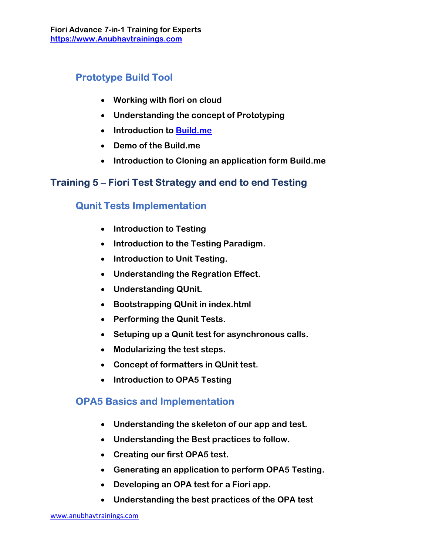# Prototype Build Tool

- Working with fiori on cloud
- Understanding the concept of Prototyping
- Introduction to Build.me
- Demo of the Build.me
- Introduction to Cloning an application form Build.me

# Training 5 – Fiori Test Strategy and end to end Testing

# Qunit Tests Implementation

- Introduction to Testing
- Introduction to the Testing Paradigm.
- Introduction to Unit Testing.
- Understanding the Regration Effect.
- Understanding QUnit.
- Bootstrapping QUnit in index.html
- Performing the Qunit Tests.
- Setuping up a Qunit test for asynchronous calls.
- Modularizing the test steps.
- Concept of formatters in QUnit test.
- Introduction to OPA5 Testing

#### OPA5 Basics and Implementation

- Understanding the skeleton of our app and test.
- Understanding the Best practices to follow.
- Creating our first OPA5 test.
- Generating an application to perform OPA5 Testing.
- Developing an OPA test for a Fiori app.
- Understanding the best practices of the OPA test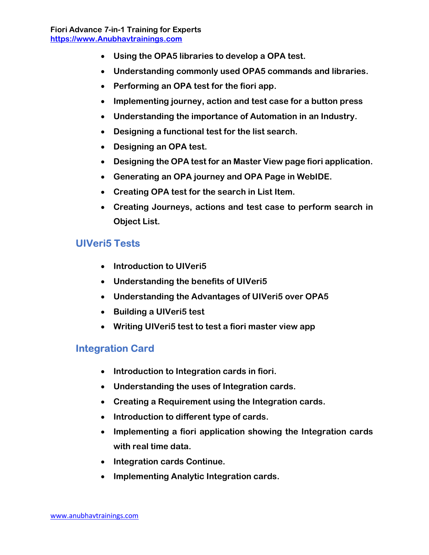- Using the OPA5 libraries to develop a OPA test.
- Understanding commonly used OPA5 commands and libraries.
- Performing an OPA test for the fiori app.
- Implementing journey, action and test case for a button press
- Understanding the importance of Automation in an Industry.
- Designing a functional test for the list search.
- Designing an OPA test.
- Designing the OPA test for an Master View page fiori application.
- Generating an OPA journey and OPA Page in WebIDE.
- Creating OPA test for the search in List Item.
- Creating Journeys, actions and test case to perform search in Object List.

#### UIVeri5 Tests

- Introduction to UIVeri5
- Understanding the benefits of UIVeri5
- Understanding the Advantages of UIVeri5 over OPA5
- Building a UIVeri5 test
- Writing UIVeri5 test to test a fiori master view app

#### Integration Card

- Introduction to Integration cards in fiori.
- Understanding the uses of Integration cards.
- Creating a Requirement using the Integration cards.
- Introduction to different type of cards.
- Implementing a fiori application showing the Integration cards with real time data.
- Integration cards Continue.
- Implementing Analytic Integration cards.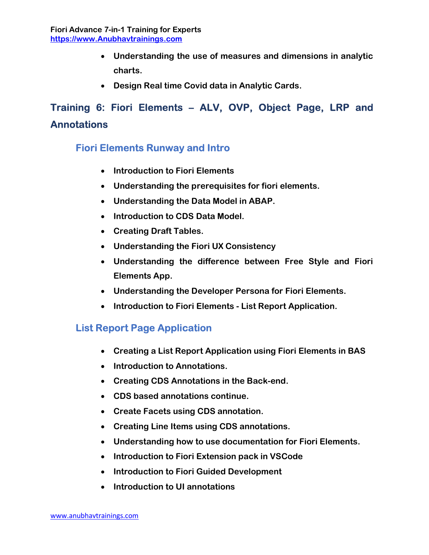- Understanding the use of measures and dimensions in analytic charts.
- Design Real time Covid data in Analytic Cards.

# Training 6: Fiori Elements – ALV, OVP, Object Page, LRP and **Annotations**

# Fiori Elements Runway and Intro

- Introduction to Fiori Elements
- Understanding the prerequisites for fiori elements.
- Understanding the Data Model in ABAP.
- Introduction to CDS Data Model.
- Creating Draft Tables.
- Understanding the Fiori UX Consistency
- Understanding the difference between Free Style and Fiori Elements App.
- Understanding the Developer Persona for Fiori Elements.
- Introduction to Fiori Elements List Report Application.

#### List Report Page Application

- Creating a List Report Application using Fiori Elements in BAS
- Introduction to Annotations.
- Creating CDS Annotations in the Back-end.
- CDS based annotations continue.
- Create Facets using CDS annotation.
- Creating Line Items using CDS annotations.
- Understanding how to use documentation for Fiori Elements.
- Introduction to Fiori Extension pack in VSCode
- Introduction to Fiori Guided Development
- Introduction to UI annotations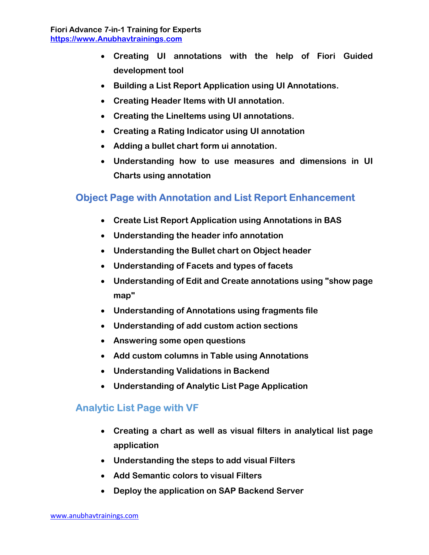- Creating UI annotations with the help of Fiori Guided development tool
- Building a List Report Application using UI Annotations.
- Creating Header Items with UI annotation.
- Creating the LineItems using UI annotations.
- Creating a Rating Indicator using UI annotation
- Adding a bullet chart form ui annotation.
- Understanding how to use measures and dimensions in UI Charts using annotation

#### Object Page with Annotation and List Report Enhancement

- Create List Report Application using Annotations in BAS
- Understanding the header info annotation
- Understanding the Bullet chart on Object header
- Understanding of Facets and types of facets
- Understanding of Edit and Create annotations using "show page map"
- Understanding of Annotations using fragments file
- Understanding of add custom action sections
- Answering some open questions
- Add custom columns in Table using Annotations
- Understanding Validations in Backend
- Understanding of Analytic List Page Application

#### Analytic List Page with VF

- Creating a chart as well as visual filters in analytical list page application
- Understanding the steps to add visual Filters
- Add Semantic colors to visual Filters
- Deploy the application on SAP Backend Server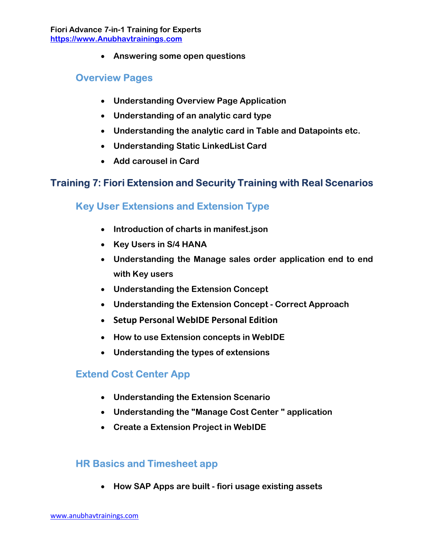Answering some open questions

#### Overview Pages

- Understanding Overview Page Application
- Understanding of an analytic card type
- Understanding the analytic card in Table and Datapoints etc.
- Understanding Static LinkedList Card
- Add carousel in Card

#### Training 7: Fiori Extension and Security Training with Real Scenarios

#### Key User Extensions and Extension Type

- Introduction of charts in manifest.json
- Key Users in S/4 HANA
- Understanding the Manage sales order application end to end with Key users
- Understanding the Extension Concept
- Understanding the Extension Concept Correct Approach
- **Setup Personal WebIDE Personal Edition**
- How to use Extension concepts in WebIDE
- Understanding the types of extensions

#### Extend Cost Center App

- Understanding the Extension Scenario
- Understanding the "Manage Cost Center " application
- Create a Extension Project in WebIDE

#### HR Basics and Timesheet app

• How SAP Apps are built - fiori usage existing assets